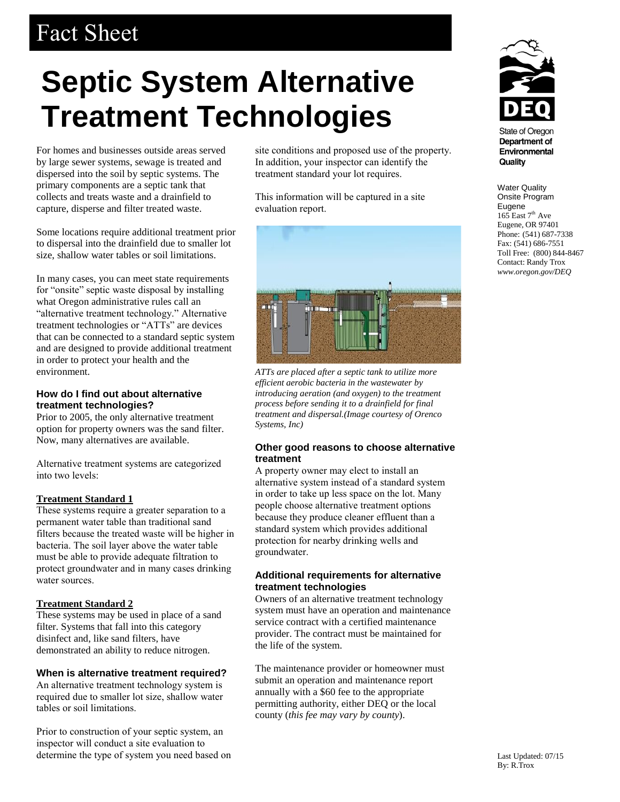# Fact Sheet

# **Septic System Alternative Treatment Technologies**

For homes and businesses outside areas served by large sewer systems, sewage is treated and dispersed into the soil by septic systems. The primary components are a septic tank that collects and treats waste and a drainfield to capture, disperse and filter treated waste.

Some locations require additional treatment prior to dispersal into the drainfield due to smaller lot size, shallow water tables or soil limitations.

In many cases, you can meet state requirements for "onsite" septic waste disposal by installing what Oregon administrative rules call an "alternative treatment technology." Alternative treatment technologies or "ATTs" are devices that can be connected to a standard septic system and are designed to provide additional treatment in order to protect your health and the environment.

## **How do I find out about alternative treatment technologies?**

Prior to 2005, the only alternative treatment option for property owners was the sand filter. Now, many alternatives are available.

Alternative treatment systems are categorized into two levels:

## **Treatment Standard 1**

These systems require a greater separation to a permanent water table than traditional sand filters because the treated waste will be higher in bacteria. The soil layer above the water table must be able to provide adequate filtration to protect groundwater and in many cases drinking water sources.

## **Treatment Standard 2**

These systems may be used in place of a sand filter. Systems that fall into this category disinfect and, like sand filters, have demonstrated an ability to reduce nitrogen.

# **When is alternative treatment required?**

An alternative treatment technology system is required due to smaller lot size, shallow water tables or soil limitations.

Prior to construction of your septic system, an inspector will conduct a site evaluation to determine the type of system you need based on site conditions and proposed use of the property. In addition, your inspector can identify the treatment standard your lot requires.

This information will be captured in a site evaluation report.



*ATTs are placed after a septic tank to utilize more efficient aerobic bacteria in the wastewater by introducing aeration (and oxygen) to the treatment process before sending it to a drainfield for final treatment and dispersal.(Image courtesy of Orenco Systems, Inc)*

## **Other good reasons to choose alternative treatment**

A property owner may elect to install an alternative system instead of a standard system in order to take up less space on the lot. Many people choose alternative treatment options because they produce cleaner effluent than a standard system which provides additional protection for nearby drinking wells and groundwater.

## **Additional requirements for alternative treatment technologies**

Owners of an alternative treatment technology system must have an operation and maintenance service contract with a certified maintenance provider. The contract must be maintained for the life of the system.

The maintenance provider or homeowner must submit an operation and maintenance report annually with a \$60 fee to the appropriate permitting authority, either DEQ or the local county (*this fee may vary by county*).



**State of Oregon** Department of Environmental Quality

Water Quality Onsite Program Eugene  $165$  East  $7<sup>th</sup>$  Ave Eugene, OR 97401 Phone: (541) 687-7338 Fax: (541) 686-7551 Toll Free: (800) 844-8467 Contact: Randy Trox *www.oregon.gov/DEQ*